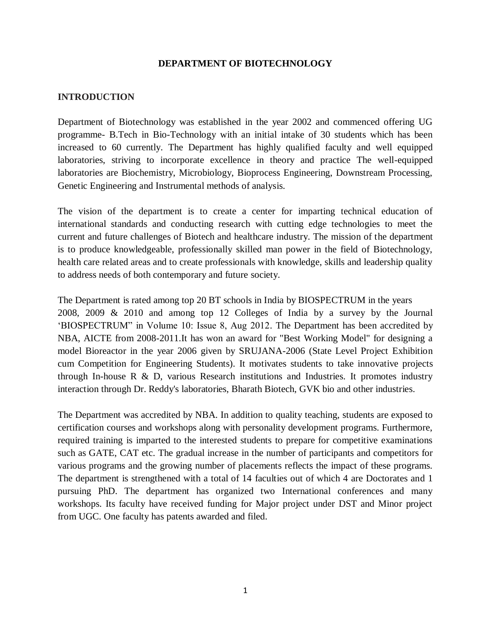#### **DEPARTMENT OF BIOTECHNOLOGY**

#### **INTRODUCTION**

Department of Biotechnology was established in the year 2002 and commenced offering UG programme- B.Tech in Bio-Technology with an initial intake of 30 students which has been increased to 60 currently. The Department has highly qualified faculty and well equipped laboratories, striving to incorporate excellence in theory and practice The well-equipped laboratories are Biochemistry, Microbiology, Bioprocess Engineering, Downstream Processing, Genetic Engineering and Instrumental methods of analysis.

The vision of the department is to create a center for imparting technical education of international standards and conducting research with cutting edge technologies to meet the current and future challenges of Biotech and healthcare industry. The mission of the department is to produce knowledgeable, professionally skilled man power in the field of Biotechnology, health care related areas and to create professionals with knowledge, skills and leadership quality to address needs of both contemporary and future society.

The Department is rated among top 20 BT schools in India by BIOSPECTRUM in the years 2008, 2009 & 2010 and among top 12 Colleges of India by a survey by the Journal 'BIOSPECTRUM" in Volume 10: Issue 8, Aug 2012. The Department has been accredited by NBA, AICTE from 2008-2011.It has won an award for "Best Working Model" for designing a model Bioreactor in the year 2006 given by SRUJANA-2006 (State Level Project Exhibition cum Competition for Engineering Students). It motivates students to take innovative projects through In-house R  $\&$  D, various Research institutions and Industries. It promotes industry interaction through Dr. Reddy's laboratories, Bharath Biotech, GVK bio and other industries.

The Department was accredited by NBA. In addition to quality teaching, students are exposed to certification courses and workshops along with personality development programs. Furthermore, required training is imparted to the interested students to prepare for competitive examinations such as GATE, CAT etc. The gradual increase in the number of participants and competitors for various programs and the growing number of placements reflects the impact of these programs. The department is strengthened with a total of 14 faculties out of which 4 are Doctorates and 1 pursuing PhD. The department has organized two International conferences and many workshops. Its faculty have received funding for Major project under DST and Minor project from UGC. One faculty has patents awarded and filed.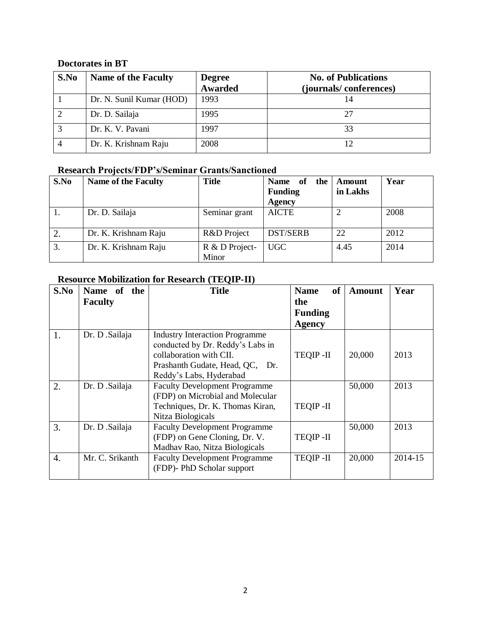# **Doctorates in BT**

| S.No | <b>Name of the Faculty</b> | <b>Degree</b><br>Awarded | <b>No. of Publications</b> |  |  |
|------|----------------------------|--------------------------|----------------------------|--|--|
|      |                            |                          | (journals/conferences)     |  |  |
|      | Dr. N. Sunil Kumar (HOD)   | 1993                     |                            |  |  |
|      | Dr. D. Sailaja             | 1995                     |                            |  |  |
|      | Dr. K. V. Pavani           | 1997                     |                            |  |  |
|      | Dr. K. Krishnam Raju       | 2008                     |                            |  |  |

# **Research Projects/FDP's/Seminar Grants/Sanctioned**

| S.No | <b>Name of the Faculty</b> | <b>Title</b>   | the  <br><b>Name</b><br>of | Amount   | Year |
|------|----------------------------|----------------|----------------------------|----------|------|
|      |                            |                | <b>Funding</b>             | in Lakhs |      |
|      |                            |                | <b>Agency</b>              |          |      |
|      | Dr. D. Sailaja             | Seminar grant  | <b>AICTE</b>               |          | 2008 |
|      |                            |                |                            |          |      |
|      | Dr. K. Krishnam Raju       | R&D Project    | <b>DST/SERB</b>            | 22       | 2012 |
| 3.   | Dr. K. Krishnam Raju       | R & D Project- | <b>UGC</b>                 | 4.45     | 2014 |
|      |                            | Minor          |                            |          |      |

# **Resource Mobilization for Research (TEQIP-II)**

| S.No             | Name of the     | <b>Title</b>                          | of<br><b>Name</b> | Amount | Year    |
|------------------|-----------------|---------------------------------------|-------------------|--------|---------|
|                  | <b>Faculty</b>  |                                       | the               |        |         |
|                  |                 |                                       | <b>Funding</b>    |        |         |
|                  |                 |                                       | <b>Agency</b>     |        |         |
| 1.               | Dr. D .Sailaja  | <b>Industry Interaction Programme</b> |                   |        |         |
|                  |                 | conducted by Dr. Reddy's Labs in      |                   |        |         |
|                  |                 | collaboration with CII.               | <b>TEQIP-II</b>   | 20,000 | 2013    |
|                  |                 | Prashanth Gudate, Head, QC, Dr.       |                   |        |         |
|                  |                 | Reddy's Labs, Hyderabad               |                   |        |         |
| 2.               | Dr. D .Sailaja  | <b>Faculty Development Programme</b>  |                   | 50,000 | 2013    |
|                  |                 | (FDP) on Microbial and Molecular      |                   |        |         |
|                  |                 | Techniques, Dr. K. Thomas Kiran,      | <b>TEQIP-II</b>   |        |         |
|                  |                 | Nitza Biologicals                     |                   |        |         |
| 3.               | Dr. D .Sailaja  | <b>Faculty Development Programme</b>  |                   | 50,000 | 2013    |
|                  |                 | (FDP) on Gene Cloning, Dr. V.         | <b>TEQIP-II</b>   |        |         |
|                  |                 | Madhav Rao, Nitza Biologicals         |                   |        |         |
| $\overline{4}$ . | Mr. C. Srikanth | <b>Faculty Development Programme</b>  | <b>TEQIP-II</b>   | 20,000 | 2014-15 |
|                  |                 | (FDP)- PhD Scholar support            |                   |        |         |
|                  |                 |                                       |                   |        |         |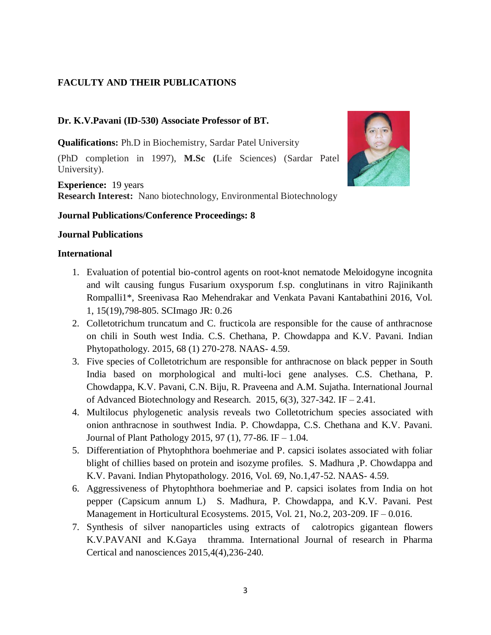### **FACULTY AND THEIR PUBLICATIONS**

### **Dr. K.V.Pavani (ID-530) Associate Professor of BT.**

**Qualifications:** Ph.D in Biochemistry, Sardar Patel University

(PhD completion in 1997), **M.Sc (**Life Sciences) (Sardar Patel University).

**Experience:** 19 years **Research Interest:** Nano biotechnology, Environmental Biotechnology

#### **Journal Publications/Conference Proceedings: 8**

#### **Journal Publications**

- 1. Evaluation of potential bio-control agents on root-knot nematode Meloidogyne incognita and wilt causing fungus Fusarium oxysporum f.sp. conglutinans in vitro Rajinikanth Rompalli1\*, Sreenivasa Rao Mehendrakar and Venkata Pavani Kantabathini 2016, Vol. 1, 15(19),798-805. SCImago JR: 0.26
- 2. Colletotrichum truncatum and C. fructicola are responsible for the cause of anthracnose on chili in South west India. C.S. Chethana, P. Chowdappa and K.V. Pavani. Indian Phytopathology. 2015, 68 (1) 270-278. NAAS- 4.59.
- 3. Five species of Colletotrichum are responsible for anthracnose on black pepper in South India based on morphological and multi-loci gene analyses. C.S. Chethana, P. Chowdappa, K.V. Pavani, C.N. Biju, R. Praveena and A.M. Sujatha. International Journal of Advanced Biotechnology and Research. 2015,  $6(3)$ , 327-342. IF – 2.41.
- 4. Multilocus phylogenetic analysis reveals two Colletotrichum species associated with onion anthracnose in southwest India. P. Chowdappa, C.S. Chethana and K.V. Pavani. Journal of Plant Pathology 2015, 97 (1), 77-86. IF – 1.04.
- 5. Differentiation of Phytophthora boehmeriae and P. capsici isolates associated with foliar blight of chillies based on protein and isozyme profiles. S. Madhura ,P. Chowdappa and K.V. Pavani. Indian Phytopathology. 2016, Vol. 69, No.1,47-52. NAAS- 4.59.
- 6. Aggressiveness of Phytophthora boehmeriae and P. capsici isolates from India on hot pepper (Capsicum annum L) S. Madhura, P. Chowdappa, and K.V. Pavani. Pest Management in Horticultural Ecosystems. 2015, Vol. 21, No.2, 203-209. IF – 0.016.
- 7. Synthesis of silver nanoparticles using extracts of calotropics gigantean flowers K.V.PAVANI and K.Gaya thramma. International Journal of research in Pharma Certical and nanosciences 2015,4(4),236-240.

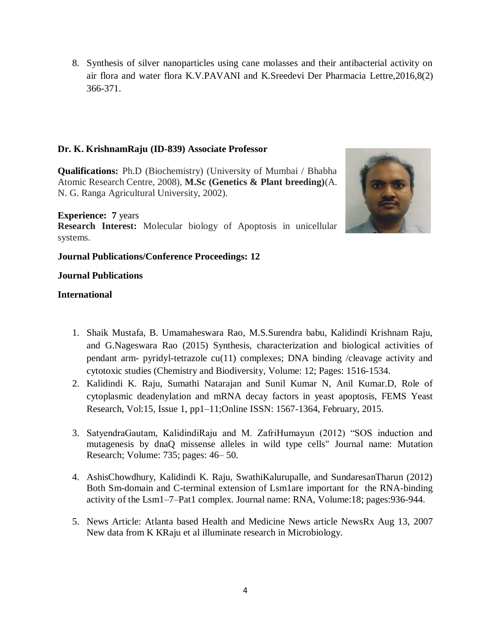8. Synthesis of silver nanoparticles using cane molasses and their antibacterial activity on air flora and water flora K.V.PAVANI and K.Sreedevi Der Pharmacia Lettre,2016,8(2) 366-371.

### **Dr. K. KrishnamRaju (ID-839) Associate Professor**

**Qualifications:** Ph.D (Biochemistry) (University of Mumbai / Bhabha Atomic Research Centre, 2008), **M.Sc (Genetics & Plant breeding)**(A. N. G. Ranga Agricultural University, 2002).

#### **Experience: 7** years

**Research Interest:** Molecular biology of Apoptosis in unicellular systems.

### **Journal Publications/Conference Proceedings: 12**

#### **Journal Publications**

- 1. Shaik Mustafa, B. Umamaheswara Rao, M.S.Surendra babu, Kalidindi Krishnam Raju, and G.Nageswara Rao (2015) Synthesis, characterization and biological activities of pendant arm- pyridyl-tetrazole cu(11) complexes; DNA binding /cleavage activity and cytotoxic studies (Chemistry and Biodiversity, Volume: 12; Pages: 1516-1534.
- 2. Kalidindi K. Raju, Sumathi Natarajan and Sunil Kumar N, Anil Kumar.D, Role of cytoplasmic deadenylation and mRNA decay factors in yeast apoptosis, FEMS Yeast Research, Vol:15, Issue 1, pp1–11;Online ISSN: 1567-1364, February, 2015.
- 3. SatyendraGautam, KalidindiRaju and M. ZafriHumayun (2012) "SOS induction and mutagenesis by dnaQ missense alleles in wild type cells" Journal name: Mutation Research; Volume: 735; pages: 46– 50.
- 4. AshisChowdhury, Kalidindi K. Raju, SwathiKalurupalle, and SundaresanTharun (2012) Both Sm-domain and C-terminal extension of Lsm1are important for the RNA-binding activity of the Lsm1–7–Pat1 complex. Journal name: RNA, Volume:18; pages:936-944.
- 5. News Article: Atlanta based Health and Medicine News article NewsRx Aug 13, 2007 New data from K KRaju et al illuminate research in Microbiology.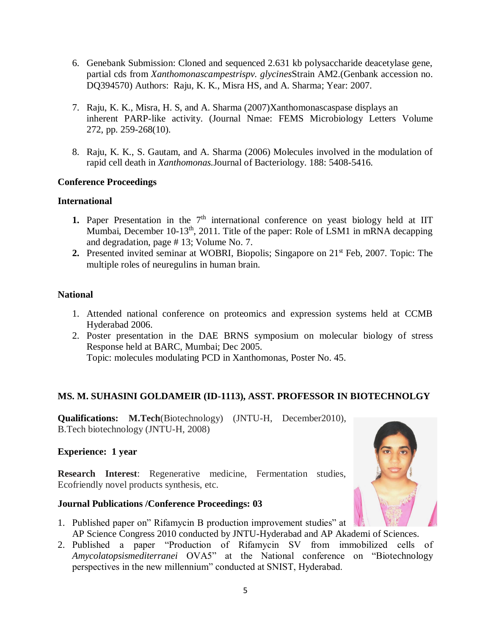- 6. Genebank Submission: Cloned and sequenced 2.631 kb polysaccharide deacetylase gene, partial cds from *Xanthomonascampestrispv. glycines*Strain AM2.(Genbank accession no. DQ394570) Authors: Raju, K. K., Misra HS, and A. Sharma; Year: 2007.
- 7. Raju, K. K., Misra, H. S, and A. Sharma (2007)Xanthomonascaspase displays an inherent PARP-like activity. (Journal Nmae: FEMS Microbiology Letters Volume 272, pp. 259-268(10).
- 8. Raju, K. K., S. Gautam, and A. Sharma (2006) Molecules involved in the modulation of rapid cell death in *Xanthomonas.*Journal of Bacteriology. 188: 5408-5416.

### **Conference Proceedings**

### **International**

- **1.** Paper Presentation in the  $7<sup>th</sup>$  international conference on yeast biology held at IIT Mumbai, December 10-13<sup>th</sup>, 2011. Title of the paper: Role of LSM1 in mRNA decapping and degradation, page # 13; Volume No. 7.
- **2.** Presented invited seminar at WOBRI, Biopolis; Singapore on 21st Feb, 2007. Topic: The multiple roles of neuregulins in human brain.

### **National**

- 1. Attended national conference on proteomics and expression systems held at CCMB Hyderabad 2006.
- 2. Poster presentation in the DAE BRNS symposium on molecular biology of stress Response held at BARC, Mumbai; Dec 2005. Topic: molecules modulating PCD in Xanthomonas, Poster No. 45.

### **MS. M. SUHASINI GOLDAMEIR (ID-1113), ASST. PROFESSOR IN BIOTECHNOLGY**

**Qualifications: M.Tech**(Biotechnology) (JNTU-H, December2010), B.Tech biotechnology (JNTU-H, 2008)

### **Experience: 1 year**

**Research Interest**: Regenerative medicine, Fermentation studies, Ecofriendly novel products synthesis, etc.

### **Journal Publications /Conference Proceedings: 03**

- 1. Published paper on" Rifamycin B production improvement studies" at AP Science Congress 2010 conducted by JNTU-Hyderabad and AP Akademi of Sciences.
- 2. Published a paper "Production of Rifamycin SV from immobilized cells of *Amycolatopsismediterranei* OVA5" at the National conference on "Biotechnology perspectives in the new millennium" conducted at SNIST, Hyderabad.

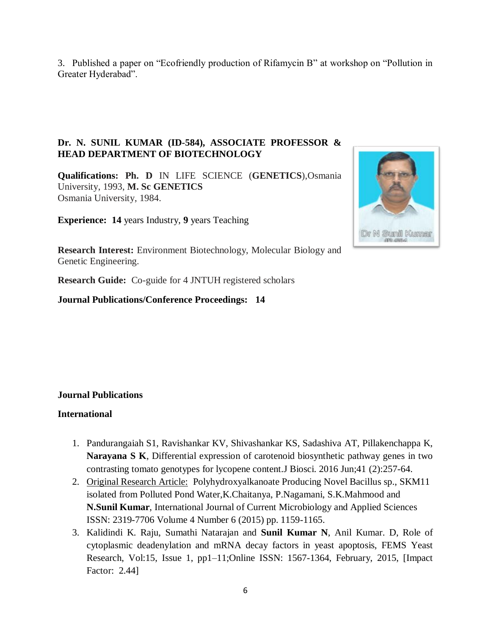3. Published a paper on "Ecofriendly production of Rifamycin B" at workshop on "Pollution in Greater Hyderabad".

### **Dr. N. SUNIL KUMAR (ID-584), ASSOCIATE PROFESSOR & HEAD DEPARTMENT OF BIOTECHNOLOGY**

**Qualifications: Ph. D** IN LIFE SCIENCE (**GENETICS**),Osmania University, 1993, **M. Sc GENETICS** Osmania University, 1984.

**Experience: 14** years Industry, **9** years Teaching



**Research Interest:** Environment Biotechnology, Molecular Biology and Genetic Engineering.

**Research Guide:** Co-guide for 4 JNTUH registered scholars

**Journal Publications/Conference Proceedings: 14**

### **Journal Publications**

- 1. Pandurangaiah S1, Ravishankar KV, Shivashankar KS, Sadashiva AT, Pillakenchappa K, **Narayana S K**, Differential expression of carotenoid biosynthetic pathway genes in two contrasting tomato genotypes for lycopene content.J Biosci. 2016 Jun;41 (2):257-64.
- 2. Original Research Article: Polyhydroxyalkanoate Producing Novel Bacillus sp., SKM11 isolated from Polluted Pond Water,K.Chaitanya, P.Nagamani, S.K.Mahmood and **N.Sunil Kumar**, International Journal of Current Microbiology and Applied Sciences ISSN: 2319-7706 Volume 4 Number 6 (2015) pp. 1159-1165.
- 3. Kalidindi K. Raju, Sumathi Natarajan and **Sunil Kumar N**, Anil Kumar. D, Role of cytoplasmic deadenylation and mRNA decay factors in yeast apoptosis, FEMS Yeast Research, Vol:15, Issue 1, pp1–11;Online ISSN: 1567-1364, February, 2015, [Impact Factor: 2.44]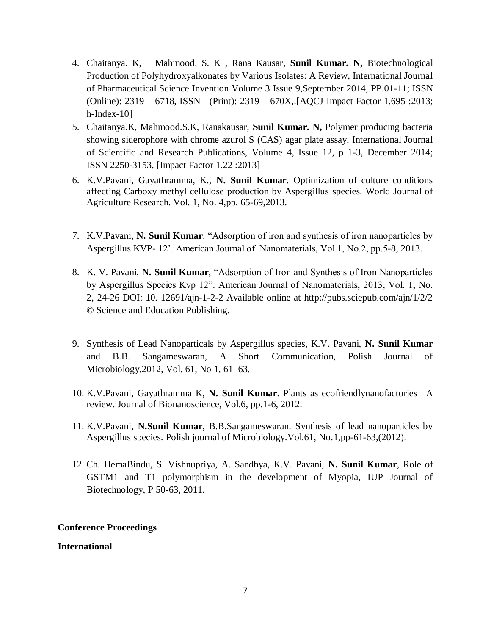- 4. Chaitanya. K, Mahmood. S. K , Rana Kausar, **Sunil Kumar. N,** Biotechnological Production of Polyhydroxyalkonates by Various Isolates: A Review, International Journal of Pharmaceutical Science Invention Volume 3 Issue 9,September 2014, PP.01-11; ISSN (Online): 2319 – 6718, ISSN (Print): 2319 – 670X,.[AQCJ Impact Factor 1.695 :2013; h-Index-10]
- 5. Chaitanya.K, Mahmood.S.K, Ranakausar, **Sunil Kumar. N,** Polymer producing bacteria showing siderophore with chrome azurol S (CAS) agar plate assay, International Journal of Scientific and Research Publications, Volume 4, Issue 12, p 1-3, December 2014; ISSN 2250-3153, [Impact Factor 1.22 :2013]
- 6. K.V.Pavani, Gayathramma, K., **N. Sunil Kumar**. Optimization of culture conditions affecting Carboxy methyl cellulose production by Aspergillus species. World Journal of Agriculture Research. Vol. 1, No. 4,pp. 65-69,2013.
- 7. K.V.Pavani, **N. Sunil Kumar**. "Adsorption of iron and synthesis of iron nanoparticles by Aspergillus KVP- 12'. American Journal of Nanomaterials, Vol.1, No.2, pp.5-8, 2013.
- 8. K. V. Pavani, **N. Sunil Kumar**, "Adsorption of Iron and Synthesis of Iron Nanoparticles by Aspergillus Species Kvp 12". American Journal of Nanomaterials, 2013, Vol. 1, No. 2, 24-26 DOI: 10. 12691/ajn-1-2-2 Available online at http://pubs.sciepub.com/ajn/1/2/2 © Science and Education Publishing.
- 9. Synthesis of Lead Nanoparticals by Aspergillus species, K.V. Pavani, **N. Sunil Kumar** and B.B. Sangameswaran, A Short Communication, Polish Journal of Microbiology,2012, Vol. 61, No 1, 61–63.
- 10. K.V.Pavani, Gayathramma K, **N. Sunil Kumar**. Plants as ecofriendlynanofactories –A review. Journal of Bionanoscience, Vol.6, pp.1-6, 2012.
- 11. K.V.Pavani, **N.Sunil Kumar**, B.B.Sangameswaran. Synthesis of lead nanoparticles by Aspergillus species. Polish journal of Microbiology.Vol.61, No.1,pp-61-63,(2012).
- 12. Ch. HemaBindu, S. Vishnupriya, A. Sandhya, K.V. Pavani, **N. Sunil Kumar**, Role of GSTM1 and T1 polymorphism in the development of Myopia, IUP Journal of Biotechnology, P 50-63, 2011.

### **Conference Proceedings**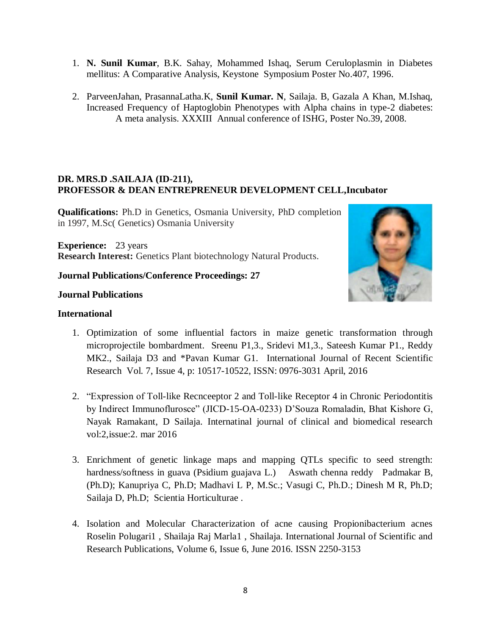- 1. **N. Sunil Kumar**, B.K. Sahay, Mohammed Ishaq, Serum Ceruloplasmin in Diabetes mellitus: A Comparative Analysis, Keystone Symposium Poster No.407, 1996.
- 2. ParveenJahan, PrasannaLatha.K, **Sunil Kumar. N**, Sailaja. B, Gazala A Khan, M.Ishaq, Increased Frequency of Haptoglobin Phenotypes with Alpha chains in type-2 diabetes: A meta analysis. XXXIII Annual conference of ISHG, Poster No.39, 2008.

### **DR. MRS.D .SAILAJA (ID-211), PROFESSOR & DEAN ENTREPRENEUR DEVELOPMENT CELL,Incubator**

**Qualifications:** Ph.D in Genetics, Osmania University, PhD completion in 1997, M.Sc( Genetics) Osmania University

**Experience:** 23 years **Research Interest:** Genetics Plant biotechnology Natural Products.

### **Journal Publications/Conference Proceedings: 27**

### **Journal Publications**



- 1. Optimization of some influential factors in maize genetic transformation through microprojectile bombardment. Sreenu P1,3., Sridevi M1,3., Sateesh Kumar P1., Reddy MK2., Sailaja D3 and \*Pavan Kumar G1. International Journal of Recent Scientific Research Vol. 7, Issue 4, p: 10517-10522, ISSN: 0976-3031 April, 2016
- 2. "Expression of Toll-like Recnceeptor 2 and Toll-like Receptor 4 in Chronic Periodontitis by Indirect Immunoflurosce" (JICD-15-OA-0233) D'Souza Romaladin, Bhat Kishore G, Nayak Ramakant, D Sailaja. Internatinal journal of clinical and biomedical research vol:2,issue:2. mar 2016
- 3. Enrichment of genetic linkage maps and mapping QTLs specific to seed strength: hardness/softness in guava (Psidium guajava L.) Aswath chenna reddy Padmakar B, (Ph.D); Kanupriya C, Ph.D; Madhavi L P, M.Sc.; Vasugi C, Ph.D.; Dinesh M R, Ph.D; Sailaja D, Ph.D; Scientia Horticulturae .
- 4. Isolation and Molecular Characterization of acne causing Propionibacterium acnes Roselin Polugari1 , Shailaja Raj Marla1 , Shailaja. International Journal of Scientific and Research Publications, Volume 6, Issue 6, June 2016. ISSN 2250-3153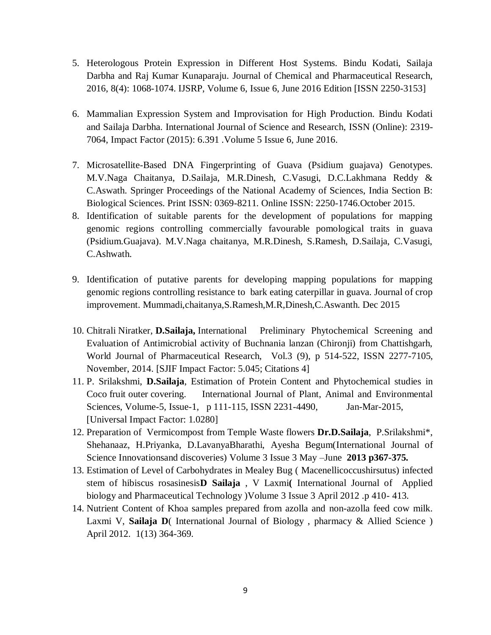- 5. Heterologous Protein Expression in Different Host Systems. Bindu Kodati, Sailaja Darbha and Raj Kumar Kunaparaju. Journal of Chemical and Pharmaceutical Research, 2016, 8(4): 1068-1074. IJSRP, Volume 6, Issue 6, June 2016 Edition [ISSN 2250-3153]
- 6. Mammalian Expression System and Improvisation for High Production. Bindu Kodati and Sailaja Darbha. International Journal of Science and Research, ISSN (Online): 2319- 7064, Impact Factor (2015): 6.391 .Volume 5 Issue 6, June 2016.
- 7. Microsatellite-Based DNA Fingerprinting of Guava (Psidium guajava) Genotypes. M.V.Naga Chaitanya, D.Sailaja, M.R.Dinesh, C.Vasugi, D.C.Lakhmana Reddy & C.Aswath. Springer Proceedings of the National Academy of Sciences, India Section B: Biological Sciences. Print ISSN: 0369-8211. Online ISSN: 2250-1746.October 2015.
- 8. Identification of suitable parents for the development of populations for mapping genomic regions controlling commercially favourable pomological traits in guava (Psidium.Guajava). M.V.Naga chaitanya, M.R.Dinesh, S.Ramesh, D.Sailaja, C.Vasugi, C.Ashwath.
- 9. Identification of putative parents for developing mapping populations for mapping genomic regions controlling resistance to bark eating caterpillar in guava. Journal of crop improvement. Mummadi,chaitanya,S.Ramesh,M.R,Dinesh,C.Aswanth. Dec 2015
- 10. Chitrali Niratker, **D.Sailaja,** International Preliminary Phytochemical Screening and Evaluation of Antimicrobial activity of Buchnania lanzan (Chironji) from Chattishgarh, World Journal of Pharmaceutical Research, Vol.3 (9), p 514-522, ISSN 2277-7105, November, 2014. [SJIF Impact Factor: 5.045; Citations 4]
- 11. P. Srilakshmi, **D.Sailaja**, Estimation of Protein Content and Phytochemical studies in Coco fruit outer covering. International Journal of Plant, Animal and Environmental Sciences, Volume-5, Issue-1, p 111-115, ISSN 2231-4490, Jan-Mar-2015, [Universal Impact Factor: 1.0280]
- 12. Preparation of Vermicompost from Temple Waste flowers **Dr.D.Sailaja**, P.Srilakshmi\*, Shehanaaz, H.Priyanka, D.LavanyaBharathi, Ayesha Begum(International Journal of Science Innovationsand discoveries) Volume 3 Issue 3 May –June **2013 p367-375.**
- 13. Estimation of Level of Carbohydrates in Mealey Bug ( Macenellicoccushirsutus) infected stem of hibiscus rosasinesis**D Sailaja** , V Laxmi**(** International Journal of Applied biology and Pharmaceutical Technology )Volume 3 Issue 3 April 2012 .p 410- 413.
- 14. Nutrient Content of Khoa samples prepared from azolla and non-azolla feed cow milk. Laxmi V, Sailaja D(International Journal of Biology, pharmacy & Allied Science) April 2012. 1(13) 364-369.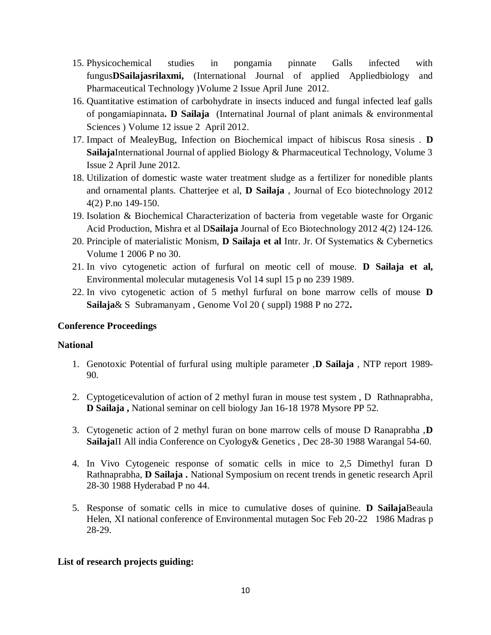- 15. Physicochemical studies in pongamia pinnate Galls infected with fungus**DSailajasrilaxmi,** (International Journal of applied Appliedbiology and Pharmaceutical Technology )Volume 2 Issue April June 2012.
- 16. Quantitative estimation of carbohydrate in insects induced and fungal infected leaf galls of pongamiapinnata**. D Sailaja** (Internatinal Journal of plant animals & environmental Sciences ) Volume 12 issue 2 April 2012.
- 17. Impact of MealeyBug, Infection on Biochemical impact of hibiscus Rosa sinesis . **D Sailaja**International Journal of applied Biology & Pharmaceutical Technology, Volume 3 Issue 2 April June 2012.
- 18. Utilization of domestic waste water treatment sludge as a fertilizer for nonedible plants and ornamental plants. Chatterjee et al, **D Sailaja** , Journal of Eco biotechnology 2012 4(2) P.no 149-150.
- 19. Isolation & Biochemical Characterization of bacteria from vegetable waste for Organic Acid Production, Mishra et al D**Sailaja** Journal of Eco Biotechnology 2012 4(2) 124-126.
- 20. Principle of materialistic Monism, **D Sailaja et al** Intr. Jr. Of Systematics & Cybernetics Volume 1 2006 P no 30.
- 21. In vivo cytogenetic action of furfural on meotic cell of mouse. **D Sailaja et al,** Environmental molecular mutagenesis Vol 14 supl 15 p no 239 1989.
- 22. In vivo cytogenetic action of 5 methyl furfural on bone marrow cells of mouse **D Sailaja**& S Subramanyam , Genome Vol 20 ( suppl) 1988 P no 272**.**

### **Conference Proceedings**

### **National**

- 1. Genotoxic Potential of furfural using multiple parameter ,**D Sailaja** , NTP report 1989- 90.
- 2. Cyptogeticevalution of action of 2 methyl furan in mouse test system , D Rathnaprabha, **D Sailaja ,** National seminar on cell biology Jan 16-18 1978 Mysore PP 52.
- 3. Cytogenetic action of 2 methyl furan on bone marrow cells of mouse D Ranaprabha ,**D Sailaja**II All india Conference on Cyology& Genetics , Dec 28-30 1988 Warangal 54-60.
- 4. In Vivo Cytogeneic response of somatic cells in mice to 2,5 Dimethyl furan D Rathnaprabha, **D Sailaja .** National Symposium on recent trends in genetic research April 28-30 1988 Hyderabad P no 44.
- 5. Response of somatic cells in mice to cumulative doses of quinine. **D Sailaja**Beaula Helen, XI national conference of Environmental mutagen Soc Feb 20-22 1986 Madras p 28-29.

# **List of research projects guiding:**